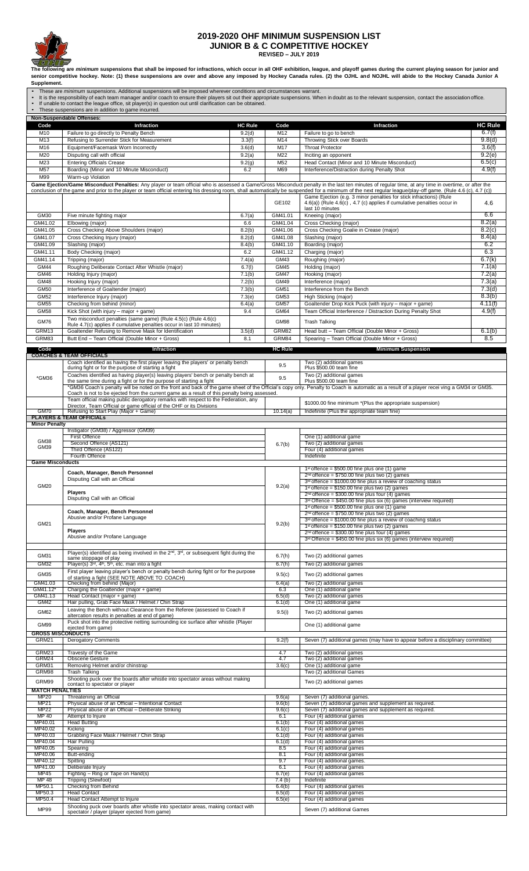

## **2019-2020 OHF MINIMUM SUSPENSION LIST JUNIOR B & C COMPETITIVE HOCKEY**

**REVISED – JULY 2019**

**The following are** *minimum* **suspensions that shall be imposed for infractions, which occur in all OHF exhibition, league, and playoff games during the current playing season for junior and senior competitive hockey. Note: (1) these suspensions are over and above any imposed by Hockey Canada rules. (2) the OJHL and NOJHL will abide to the Hockey Canada Junior A** 

Supplement.<br>▪ These are *minimum* suspensions. Additional suspensions will be imposed wherever conditions and circumstances warrant.<br>▪ It is the responsibility of each team manager and/or coach to ensure their players sit  $\overline{\phantom{a}}$ 

|                            | Non-Suspendable Offenses:                                                                                                                |                  |                            |                                                                                                                                                                                                                                                                                    |                            |
|----------------------------|------------------------------------------------------------------------------------------------------------------------------------------|------------------|----------------------------|------------------------------------------------------------------------------------------------------------------------------------------------------------------------------------------------------------------------------------------------------------------------------------|----------------------------|
| Code                       | Infraction                                                                                                                               | <b>HC Rule</b>   | Code                       | Infraction                                                                                                                                                                                                                                                                         | <b>HC Rule</b>             |
| M10<br>M13                 | Failure to go directly to Penalty Bench<br>Refusing to Surrender Stick for Measurement                                                   | 9.2(d)<br>3.3(f) | M12<br>M14                 | Failure to go to bench<br>Throwing Stick over Boards                                                                                                                                                                                                                               | 6.7(f)<br>9.8(d)           |
| M16                        | Equipment/Facemask Worn Incorrectly                                                                                                      | 3.6(d)           | M17                        | <b>Throat Protector</b>                                                                                                                                                                                                                                                            | 3.6(f)                     |
| M20                        | Disputing call with official                                                                                                             | 9.2(a)           | M22                        | Inciting an opponent                                                                                                                                                                                                                                                               | 9.2(e)                     |
| M23<br>M <sub>57</sub>     | <b>Entering Officials Crease</b><br>Boarding (Minor and 10 Minute Misconduct)                                                            | 9.2(g)<br>6.2    | M52<br>M69                 | Head Contact (Minor and 10 Minute Misconduct)<br>Interference/Distraction during Penalty Shot                                                                                                                                                                                      | 6.5(c)<br>4.9(f)           |
| M99                        | Warm-up Violation                                                                                                                        |                  |                            |                                                                                                                                                                                                                                                                                    |                            |
|                            |                                                                                                                                          |                  |                            | Game Ejection/Game Misconduct Penalties: Any player or team official who is assessed a Game/Gross Misconduct penalty in the last ten minutes of regular time, at any time in overtime, or after the                                                                                |                            |
|                            |                                                                                                                                          |                  |                            | conclusion of the game and prior to the player or team official entering his dressing room, shall automatically be suspended for a minimum of the next regular league/play-off game. (Rule 4.6 (c), 4.7 (c))<br>Game Ejection (e.g. 3 minor penalties for stick infractions) (Rule |                            |
|                            |                                                                                                                                          |                  | GE102                      | 4.6(a)) (Rule 4.6(c), 4.7 (c) applies if cumulative penalties occur in                                                                                                                                                                                                             | 4.6                        |
| <b>GM30</b>                | Five minute fighting major                                                                                                               | 6.7(a)           | GM41.01                    | last 10 minutes<br>Kneeing (major)                                                                                                                                                                                                                                                 | 6.6                        |
| GM41.02                    | Elbowing (maior)                                                                                                                         | 6.6              | GM41.04                    | Cross Checking (major)                                                                                                                                                                                                                                                             | $\overline{8.2}$ (a)       |
| GM41.05                    | Cross Checking Above Shoulders (major)                                                                                                   | 8.2(b)           | GM41.06                    | Cross Checking Goalie in Crease (major)                                                                                                                                                                                                                                            | 8.2(c)                     |
| GM41.07<br>GM41.09         | Cross Checking Injury (major)<br>Slashing (major)                                                                                        | 8.2(d)<br>8.4(b) | GM41.08<br>GM41.10         | Slashing (major)<br>Boarding (major)                                                                                                                                                                                                                                               | 8.4(a)<br>6.2              |
| GM41.11                    | Body Checking (major)                                                                                                                    | 6.2              | GM41.12                    | Charging (major)                                                                                                                                                                                                                                                                   | 6.3                        |
| GM41.14                    | Tripping (major)                                                                                                                         | 7.4(a)           | GM43                       | Roughing (major)                                                                                                                                                                                                                                                                   | 6.7(k)                     |
| <b>GM44</b>                | Roughing Deliberate Contact After Whistle (major)                                                                                        | 6.7(1)           | <b>GM45</b>                | Holding (major)                                                                                                                                                                                                                                                                    | 7.1(a)                     |
| <b>GM46</b><br>GM48        | Holding Injury (major)<br>Hooking Injury (major)                                                                                         | 7.1(b)<br>7.2(b) | <b>GM47</b><br><b>GM49</b> | Hooking (major)<br>Interference (major)                                                                                                                                                                                                                                            | 7.2(a)<br>7.3(a)           |
| <b>GM50</b>                | Interference of Goaltender (major)                                                                                                       | 7.3(b)           | <b>GM51</b>                | Interference from the Bench                                                                                                                                                                                                                                                        | 7.3(d)                     |
| GM52                       | Interference Injury (major)                                                                                                              | 7.3(e)           | <b>GM53</b>                | High Sticking (major)                                                                                                                                                                                                                                                              | 8.3(b)                     |
| GM55                       | Checking from behind (minor)                                                                                                             | 6.4(a)           | <b>GM57</b>                | Goaltender Drop Kick Puck (with injury - major + game)                                                                                                                                                                                                                             | 4.11(f)                    |
| <b>GM58</b>                | Kick Shot (with injury - major + game)<br>Two misconduct penalties (same game) (Rule 4.5(c) (Rule 4.6(c)                                 | 9.4              | GM64                       | Team Official Interference / Distraction During Penalty Shot                                                                                                                                                                                                                       | 4.9(f)                     |
| <b>GM76</b>                | Rule 4.7(c) applies if cumulative penalties occur in last 10 minutes)                                                                    |                  | GM98                       | <b>Trash Talking</b>                                                                                                                                                                                                                                                               |                            |
| GRM13<br>GRM83             | Goaltender Refusing to Remove Mask for Identification                                                                                    | 3.5(d)           | GRM82<br>GRM84             | Head butt - Team Official (Double Minor + Gross)                                                                                                                                                                                                                                   | $\overline{6}.1(b)$<br>8.5 |
|                            | Butt End - Team Official (Double Minor + Gross)                                                                                          | 8.1              |                            | Spearing - Team Official (Double Minor + Gross)                                                                                                                                                                                                                                    |                            |
| Code                       | Infraction<br><b>COACHES &amp; TEAM OFFICIALS</b>                                                                                        |                  | <b>HC Rule</b>             | <b>Minimum Suspension</b>                                                                                                                                                                                                                                                          |                            |
|                            | Coach identified as having the first player leaving the players' or penalty bench                                                        |                  | 9.5                        | Two (2) additional games                                                                                                                                                                                                                                                           |                            |
|                            | during fight or for the purpose of starting a fight<br>Coaches identified as having player(s) leaving players' bench or penalty bench at |                  |                            | Plus \$500.00 team fine<br>Two (2) additional games                                                                                                                                                                                                                                |                            |
| *GM36                      | the same time during a fight or for the purpose of starting a fight                                                                      |                  | 9.5                        | Plus \$500.00 team fine                                                                                                                                                                                                                                                            |                            |
|                            | Coach is not to be ejected from the current game as a result of this penalty being assessed.                                             |                  |                            | *GM36 Coach's penalty will be noted on the front and back of the game sheet of the Official's copy only. Penalty to Coach is automatic as a result of a player recei ving a GM34 or GM35.                                                                                          |                            |
|                            | Team official making public derogatory remarks with respect to the Federation, any                                                       |                  |                            | \$1000.00 fine minimum *(Plus the appropriate suspension)                                                                                                                                                                                                                          |                            |
| GM70                       | Director, Team Official or game official of the OHF or its Divisions<br>Refusing to Start Play (Major + Game)                            |                  | 10.14(a)                   | Indefinite (Plus the appropriate team fine)                                                                                                                                                                                                                                        |                            |
| <b>Minor Penalty</b>       | <b>PLAYERS &amp; TEAM OFFICIALS</b>                                                                                                      |                  |                            |                                                                                                                                                                                                                                                                                    |                            |
|                            | Instigator (GM38) / Aggressor (GM39)                                                                                                     |                  |                            |                                                                                                                                                                                                                                                                                    |                            |
| GM38                       | <b>First Offence</b><br>Second Offence (AS121)                                                                                           |                  |                            | One (1) additional game<br>Two (2) additional games                                                                                                                                                                                                                                |                            |
| GM39                       | Third Offence (AS122)                                                                                                                    |                  | 6.7(b)                     | Four (4) additional games                                                                                                                                                                                                                                                          |                            |
| <b>Game Misconducts</b>    | Fourth Offence                                                                                                                           |                  |                            | Indefinite                                                                                                                                                                                                                                                                         |                            |
|                            |                                                                                                                                          |                  |                            | $1st$ offence = \$500.00 fine plus one (1) game                                                                                                                                                                                                                                    |                            |
|                            | Coach, Manager, Bench Personnel<br>Disputing Call with an Official                                                                       |                  |                            | $2nd$ offence = \$750.00 fine plus two (2) games<br>$3rd$ offence = \$1000.00 fine plus a review of coaching status                                                                                                                                                                |                            |
| GM20                       |                                                                                                                                          |                  | 9.2(a)                     | 1st offence = $$150.00$ fine plus two (2) games                                                                                                                                                                                                                                    |                            |
|                            | <b>Players</b><br>Disputing Call with an Official                                                                                        |                  |                            | $2nd$ offence = \$300.00 fine plus four (4) games                                                                                                                                                                                                                                  |                            |
|                            |                                                                                                                                          |                  |                            | 3 <sup>re</sup> Offence = \$450.00 fine plus six (6) games (interview required)<br>$1st$ offence = \$500.00 fine plus one (1) game                                                                                                                                                 |                            |
|                            | Coach, Manager, Bench Personnel<br>Abusive and/or Profane Language                                                                       |                  |                            | $2nd$ offence = \$750.00 fine plus two (2) games<br>$3rd$ offence = \$1000.00 fine plus a review of coaching status                                                                                                                                                                |                            |
| GM21                       |                                                                                                                                          |                  | 9.2(b)                     | $1st$ offence = \$150.00 fine plus two (2) games                                                                                                                                                                                                                                   |                            |
|                            | <b>Players</b><br>Abusive and/or Profane Language                                                                                        |                  |                            | $2nd$ offence = \$300.00 fine plus four (4) games                                                                                                                                                                                                                                  |                            |
|                            |                                                                                                                                          |                  |                            | $3rd$ Offence = \$450.00 fine plus six (6) games (interview required)                                                                                                                                                                                                              |                            |
| GM31                       | Player(s) identified as being involved in the $2^{nd}$ , $3^{rd}$ , or subsequent fight during the                                       |                  | 6.7(h)                     | Two (2) additional games                                                                                                                                                                                                                                                           |                            |
| GM32                       | same stoppage of play<br>Player(s) 3rd, 4 <sup>th</sup> , 5 <sup>th</sup> , etc. man into a fight                                        |                  | 6.7(h)                     | Two (2) additional games                                                                                                                                                                                                                                                           |                            |
| GM35                       | First player leaving player's bench or penalty bench during fight or for the purpose                                                     |                  | 9.5(c)                     | Two (2) additional games                                                                                                                                                                                                                                                           |                            |
| GM41.03                    | of starting a fight (SEE NOTE ABOVE TO COACH)<br>Checking from behind (Major)                                                            |                  | 6.4(a)                     | Two (2) additional games                                                                                                                                                                                                                                                           |                            |
| GM41.12*<br>GM41.13        | Charging the Goaltender (major + game)<br>Head Contact (major + game)                                                                    |                  | 6.3<br>6.5(d)              | One (1) additional game<br>Two (2) additional games                                                                                                                                                                                                                                |                            |
| GM42                       | Hair pulling, Grab Face Mask / Helmet / Chin Strap                                                                                       |                  | 6.1(d)                     | One (1) additional game                                                                                                                                                                                                                                                            |                            |
| GM62                       | Leaving the Bench without Clearance from the Referee (assessed to Coach if                                                               |                  | 9.5(i)                     | Two (2) additional games                                                                                                                                                                                                                                                           |                            |
| GM99                       | altercation results in penalties at end of game)<br>Puck shot into the protective netting surrounding ice surface after whistle (Player  |                  |                            |                                                                                                                                                                                                                                                                                    |                            |
|                            | One (1) additional game<br>ejected from game)<br><b>GROSS MISCONDUCTS</b>                                                                |                  |                            |                                                                                                                                                                                                                                                                                    |                            |
| GRM21                      | <b>Derogatory Comments</b>                                                                                                               |                  | 9.2(f)                     | Seven (7) additional games (may have to appear before a disciplinary committee)                                                                                                                                                                                                    |                            |
| GRM23                      | Travesty of the Game                                                                                                                     |                  | 4.7                        | Two (2) additional games                                                                                                                                                                                                                                                           |                            |
| GRM24                      | <b>Obscene Gesture</b>                                                                                                                   |                  | 4.7                        | Two (2) additional games                                                                                                                                                                                                                                                           |                            |
| GRM31<br>GRM98             | Removing Helmet and/or chinstrap<br><b>Trash Talking</b>                                                                                 |                  | 3.6(c)                     | One (1) additional game<br>Two (2) additional Games                                                                                                                                                                                                                                |                            |
| GRM99                      | Shooting puck over the boards after whistle into spectator areas without making                                                          |                  |                            | Two (2) additional games                                                                                                                                                                                                                                                           |                            |
| <b>MATCH PENALTIES</b>     | contact to spectator or player                                                                                                           |                  |                            |                                                                                                                                                                                                                                                                                    |                            |
| <b>MP20</b>                | Threatening an Official                                                                                                                  |                  | 9.6(a)                     | Seven (7) additional games.                                                                                                                                                                                                                                                        |                            |
| <b>MP21</b><br><b>MP22</b> | Physical abuse of an Official - Intentional Contact<br>Physical abuse of an Official - Deliberate Striking                               |                  | 9.6(b)<br>9.6(c)           | Seven (7) additional games and supplement as required.<br>Seven (7) additional games and supplement as required.                                                                                                                                                                   |                            |
| MP 40                      | Attempt to Injure                                                                                                                        |                  | 6.1                        | Four (4) additional games                                                                                                                                                                                                                                                          |                            |
| MP40.01<br>MP40.02         | <b>Head Butting</b><br>Kicking                                                                                                           |                  | 6.1(b)<br>6.1(c)           | Four (4) additional games<br>Four (4) additional games                                                                                                                                                                                                                             |                            |
| MP40.03                    | Grabbing Face Mask / Helmet / Chin Strap                                                                                                 |                  | 6.1(d)                     | Four (4) additional games                                                                                                                                                                                                                                                          |                            |
| MP40.04<br>MP40.05         | Hair Pulling<br>Spearing                                                                                                                 |                  | 6.1(d)<br>8.5              | Four (4) additional games<br>Four (4) additional games                                                                                                                                                                                                                             |                            |
| MP40.06                    | Butt-ending                                                                                                                              |                  | 8.1                        | Four (4) additional games                                                                                                                                                                                                                                                          |                            |
| MP40.12<br>MP41.00         | Spitting<br>Deliberate Injury                                                                                                            |                  | 9.7<br>6.1                 | Four (4) additional games.<br>Four (4) additional games                                                                                                                                                                                                                            |                            |
| MP45                       | Fighting - Ring or Tape on Hand(s)                                                                                                       |                  | 6.7(e)                     | Four (4) additional games                                                                                                                                                                                                                                                          |                            |
| MP 48<br>MP50.1            | Tripping (Slewfoot)<br>Checking from Behind                                                                                              |                  | 7.4(b)<br>6.4(b)           | Indefinite<br>Four (4) additional games                                                                                                                                                                                                                                            |                            |
| MP50.3                     | <b>Head Contact</b>                                                                                                                      |                  | 6.5(d)                     | Four (4) additional games                                                                                                                                                                                                                                                          |                            |
| MP50.4                     | Head Contact Attempt to Injure<br>Shooting puck over boards after whistle into spectator areas, making contact with                      |                  | 6.5(e)                     | Four (4) additional games                                                                                                                                                                                                                                                          |                            |
| MP99                       | spectator / player (player ejected from game)                                                                                            |                  |                            | Seven (7) additional Games                                                                                                                                                                                                                                                         |                            |